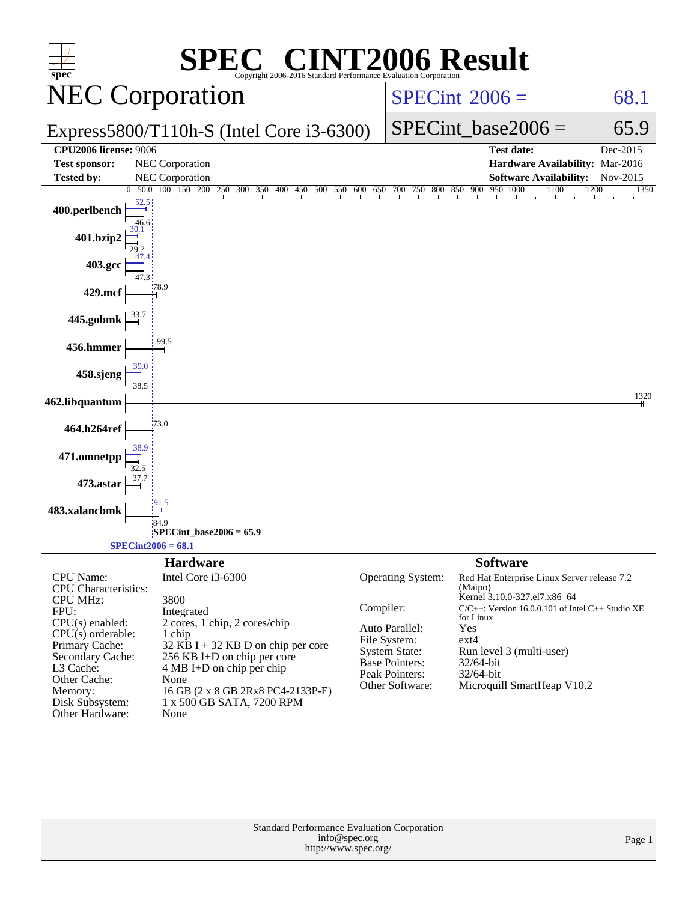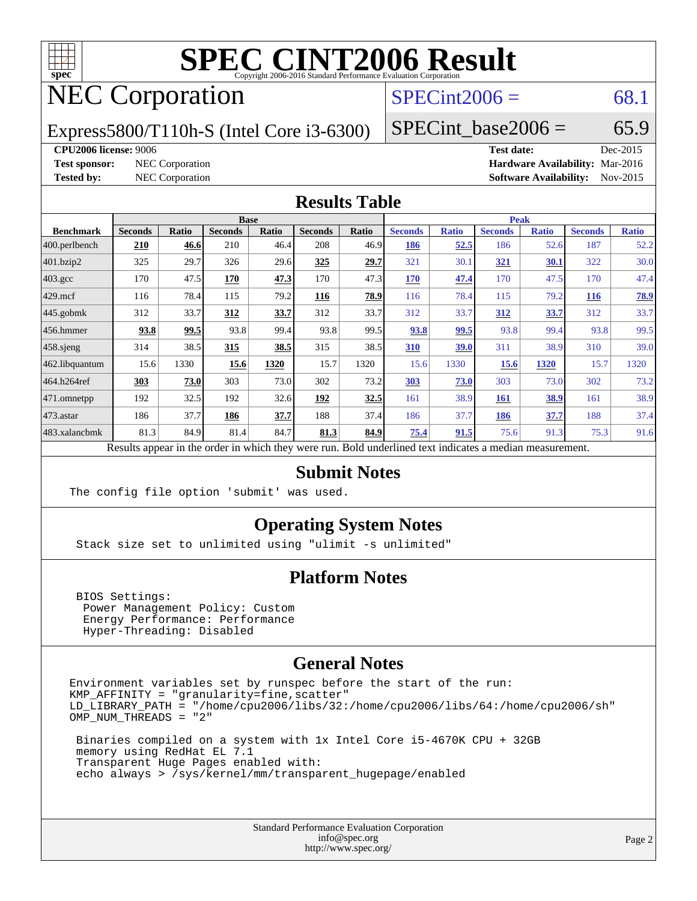

# **[SPEC CINT2006 Result](http://www.spec.org/auto/cpu2006/Docs/result-fields.html#SPECCINT2006Result)**

## NEC Corporation

## $SPECint2006 = 68.1$  $SPECint2006 = 68.1$

Express5800/T110h-S (Intel Core i3-6300)

SPECint base2006 =  $65.9$ 

#### **[CPU2006 license:](http://www.spec.org/auto/cpu2006/Docs/result-fields.html#CPU2006license)** 9006 **[Test date:](http://www.spec.org/auto/cpu2006/Docs/result-fields.html#Testdate)** Dec-2015

**[Test sponsor:](http://www.spec.org/auto/cpu2006/Docs/result-fields.html#Testsponsor)** NEC Corporation **[Hardware Availability:](http://www.spec.org/auto/cpu2006/Docs/result-fields.html#HardwareAvailability)** Mar-2016 **[Tested by:](http://www.spec.org/auto/cpu2006/Docs/result-fields.html#Testedby)** NEC Corporation **[Software Availability:](http://www.spec.org/auto/cpu2006/Docs/result-fields.html#SoftwareAvailability)** Nov-2015

### **[Results Table](http://www.spec.org/auto/cpu2006/Docs/result-fields.html#ResultsTable)**

|                    | <b>Base</b>    |              |                                                                                                          |       |                |       | <b>Peak</b>    |              |                |              |                |              |
|--------------------|----------------|--------------|----------------------------------------------------------------------------------------------------------|-------|----------------|-------|----------------|--------------|----------------|--------------|----------------|--------------|
| <b>Benchmark</b>   | <b>Seconds</b> | <b>Ratio</b> | <b>Seconds</b>                                                                                           | Ratio | <b>Seconds</b> | Ratio | <b>Seconds</b> | <b>Ratio</b> | <b>Seconds</b> | <b>Ratio</b> | <b>Seconds</b> | <b>Ratio</b> |
| 400.perlbench      | 210            | 46.6         | 210                                                                                                      | 46.4  | 208            | 46.9  | 186            | 52.5         | 186            | 52.6         | 187            | 52.2         |
| 401.bzip2          | 325            | 29.7         | 326                                                                                                      | 29.6  | 325            | 29.7  | 321            | 30.1         | <u>321</u>     | <u>30.1</u>  | 322            | 30.0         |
| $403.\mathrm{gcc}$ | 170            | 47.5         | 170                                                                                                      | 47.3  | 170            | 47.3  | 170            | 47.4         | 170            | 47.5         | 170            | 47.4         |
| $429$ .mcf         | 116            | 78.4         | 115                                                                                                      | 79.2  | 116            | 78.9  | 116            | 78.4         | 115            | 79.2         | 116            | 78.9         |
| 445.gobmk          | 312            | 33.7         | 312                                                                                                      | 33.7  | 312            | 33.7  | 312            | 33.7         | 312            | 33.7         | 312            | 33.7         |
| $ 456$ .hmmer      | 93.8           | 99.5         | 93.8                                                                                                     | 99.4  | 93.8           | 99.5  | 93.8           | <u>99.5</u>  | 93.8           | 99.4         | 93.8           | 99.5         |
| $458$ .sjeng       | 314            | 38.5         | 315                                                                                                      | 38.5  | 315            | 38.5  | 310            | 39.0         | 311            | 38.9         | 310            | 39.0         |
| 462.libquantum     | 15.6           | 1330         | 15.6                                                                                                     | 1320  | 15.7           | 1320  | 15.6           | 1330         | 15.6           | 1320         | 15.7           | 1320         |
| 464.h264ref        | 303            | 73.0         | 303                                                                                                      | 73.0  | 302            | 73.2  | 303            | 73.0         | 303            | 73.0         | 302            | 73.2         |
| 471.omnetpp        | 192            | 32.5         | 192                                                                                                      | 32.6  | 192            | 32.5  | 161            | 38.9         | <b>161</b>     | 38.9         | 161            | 38.9         |
| $473$ . astar      | 186            | 37.7         | 186                                                                                                      | 37.7  | 188            | 37.4  | 186            | 37.7         | 186            | 37.7         | 188            | 37.4         |
| 483.xalancbmk      | 81.3           | 84.9         | 81.4                                                                                                     | 84.7  | 81.3           | 84.9  | 75.4           | 91.5         | 75.6           | 91.3         | 75.3           | 91.6         |
|                    |                |              | Results appear in the order in which they were run. Bold underlined text indicates a median measurement. |       |                |       |                |              |                |              |                |              |

### **[Submit Notes](http://www.spec.org/auto/cpu2006/Docs/result-fields.html#SubmitNotes)**

The config file option 'submit' was used.

## **[Operating System Notes](http://www.spec.org/auto/cpu2006/Docs/result-fields.html#OperatingSystemNotes)**

Stack size set to unlimited using "ulimit -s unlimited"

## **[Platform Notes](http://www.spec.org/auto/cpu2006/Docs/result-fields.html#PlatformNotes)**

 BIOS Settings: Power Management Policy: Custom Energy Performance: Performance Hyper-Threading: Disabled

### **[General Notes](http://www.spec.org/auto/cpu2006/Docs/result-fields.html#GeneralNotes)**

Environment variables set by runspec before the start of the run: KMP\_AFFINITY = "granularity=fine,scatter" LD\_LIBRARY\_PATH = "/home/cpu2006/libs/32:/home/cpu2006/libs/64:/home/cpu2006/sh" OMP NUM THREADS = "2"

 Binaries compiled on a system with 1x Intel Core i5-4670K CPU + 32GB memory using RedHat EL 7.1 Transparent Huge Pages enabled with: echo always > /sys/kernel/mm/transparent\_hugepage/enabled

> Standard Performance Evaluation Corporation [info@spec.org](mailto:info@spec.org) <http://www.spec.org/>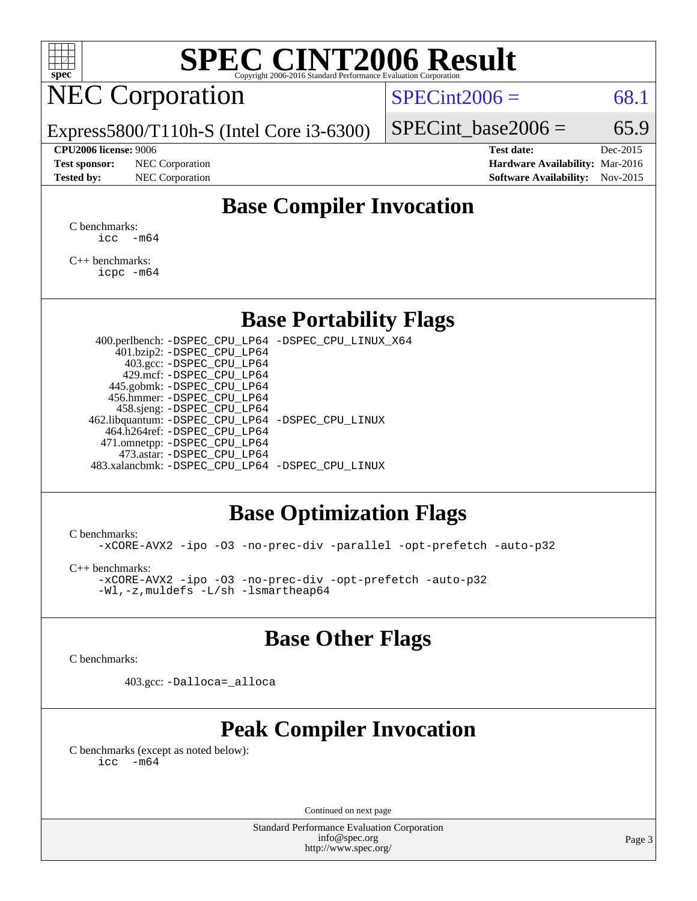

# **[SPEC CINT2006 Result](http://www.spec.org/auto/cpu2006/Docs/result-fields.html#SPECCINT2006Result)**

## NEC Corporation

 $SPECint2006 = 68.1$  $SPECint2006 = 68.1$ 

Express5800/T110h-S (Intel Core i3-6300)

#### **[CPU2006 license:](http://www.spec.org/auto/cpu2006/Docs/result-fields.html#CPU2006license)** 9006 **[Test date:](http://www.spec.org/auto/cpu2006/Docs/result-fields.html#Testdate)** Dec-2015

**[Test sponsor:](http://www.spec.org/auto/cpu2006/Docs/result-fields.html#Testsponsor)** NEC Corporation **[Hardware Availability:](http://www.spec.org/auto/cpu2006/Docs/result-fields.html#HardwareAvailability)** Mar-2016

SPECint base2006 =  $65.9$ 

**[Tested by:](http://www.spec.org/auto/cpu2006/Docs/result-fields.html#Testedby)** NEC Corporation **[Software Availability:](http://www.spec.org/auto/cpu2006/Docs/result-fields.html#SoftwareAvailability)** Nov-2015

## **[Base Compiler Invocation](http://www.spec.org/auto/cpu2006/Docs/result-fields.html#BaseCompilerInvocation)**

[C benchmarks](http://www.spec.org/auto/cpu2006/Docs/result-fields.html#Cbenchmarks):  $\text{icc}$   $-\text{m64}$ 

[C++ benchmarks:](http://www.spec.org/auto/cpu2006/Docs/result-fields.html#CXXbenchmarks) [icpc -m64](http://www.spec.org/cpu2006/results/res2016q1/cpu2006-20160125-38944.flags.html#user_CXXbase_intel_icpc_64bit_fc66a5337ce925472a5c54ad6a0de310)

## **[Base Portability Flags](http://www.spec.org/auto/cpu2006/Docs/result-fields.html#BasePortabilityFlags)**

 400.perlbench: [-DSPEC\\_CPU\\_LP64](http://www.spec.org/cpu2006/results/res2016q1/cpu2006-20160125-38944.flags.html#b400.perlbench_basePORTABILITY_DSPEC_CPU_LP64) [-DSPEC\\_CPU\\_LINUX\\_X64](http://www.spec.org/cpu2006/results/res2016q1/cpu2006-20160125-38944.flags.html#b400.perlbench_baseCPORTABILITY_DSPEC_CPU_LINUX_X64) 401.bzip2: [-DSPEC\\_CPU\\_LP64](http://www.spec.org/cpu2006/results/res2016q1/cpu2006-20160125-38944.flags.html#suite_basePORTABILITY401_bzip2_DSPEC_CPU_LP64) 403.gcc: [-DSPEC\\_CPU\\_LP64](http://www.spec.org/cpu2006/results/res2016q1/cpu2006-20160125-38944.flags.html#suite_basePORTABILITY403_gcc_DSPEC_CPU_LP64) 429.mcf: [-DSPEC\\_CPU\\_LP64](http://www.spec.org/cpu2006/results/res2016q1/cpu2006-20160125-38944.flags.html#suite_basePORTABILITY429_mcf_DSPEC_CPU_LP64) 445.gobmk: [-DSPEC\\_CPU\\_LP64](http://www.spec.org/cpu2006/results/res2016q1/cpu2006-20160125-38944.flags.html#suite_basePORTABILITY445_gobmk_DSPEC_CPU_LP64) 456.hmmer: [-DSPEC\\_CPU\\_LP64](http://www.spec.org/cpu2006/results/res2016q1/cpu2006-20160125-38944.flags.html#suite_basePORTABILITY456_hmmer_DSPEC_CPU_LP64) 458.sjeng: [-DSPEC\\_CPU\\_LP64](http://www.spec.org/cpu2006/results/res2016q1/cpu2006-20160125-38944.flags.html#suite_basePORTABILITY458_sjeng_DSPEC_CPU_LP64) 462.libquantum: [-DSPEC\\_CPU\\_LP64](http://www.spec.org/cpu2006/results/res2016q1/cpu2006-20160125-38944.flags.html#suite_basePORTABILITY462_libquantum_DSPEC_CPU_LP64) [-DSPEC\\_CPU\\_LINUX](http://www.spec.org/cpu2006/results/res2016q1/cpu2006-20160125-38944.flags.html#b462.libquantum_baseCPORTABILITY_DSPEC_CPU_LINUX) 464.h264ref: [-DSPEC\\_CPU\\_LP64](http://www.spec.org/cpu2006/results/res2016q1/cpu2006-20160125-38944.flags.html#suite_basePORTABILITY464_h264ref_DSPEC_CPU_LP64) 471.omnetpp: [-DSPEC\\_CPU\\_LP64](http://www.spec.org/cpu2006/results/res2016q1/cpu2006-20160125-38944.flags.html#suite_basePORTABILITY471_omnetpp_DSPEC_CPU_LP64) 473.astar: [-DSPEC\\_CPU\\_LP64](http://www.spec.org/cpu2006/results/res2016q1/cpu2006-20160125-38944.flags.html#suite_basePORTABILITY473_astar_DSPEC_CPU_LP64) 483.xalancbmk: [-DSPEC\\_CPU\\_LP64](http://www.spec.org/cpu2006/results/res2016q1/cpu2006-20160125-38944.flags.html#suite_basePORTABILITY483_xalancbmk_DSPEC_CPU_LP64) [-DSPEC\\_CPU\\_LINUX](http://www.spec.org/cpu2006/results/res2016q1/cpu2006-20160125-38944.flags.html#b483.xalancbmk_baseCXXPORTABILITY_DSPEC_CPU_LINUX)

## **[Base Optimization Flags](http://www.spec.org/auto/cpu2006/Docs/result-fields.html#BaseOptimizationFlags)**

[C benchmarks](http://www.spec.org/auto/cpu2006/Docs/result-fields.html#Cbenchmarks):

[-xCORE-AVX2](http://www.spec.org/cpu2006/results/res2016q1/cpu2006-20160125-38944.flags.html#user_CCbase_f-xAVX2_5f5fc0cbe2c9f62c816d3e45806c70d7) [-ipo](http://www.spec.org/cpu2006/results/res2016q1/cpu2006-20160125-38944.flags.html#user_CCbase_f-ipo) [-O3](http://www.spec.org/cpu2006/results/res2016q1/cpu2006-20160125-38944.flags.html#user_CCbase_f-O3) [-no-prec-div](http://www.spec.org/cpu2006/results/res2016q1/cpu2006-20160125-38944.flags.html#user_CCbase_f-no-prec-div) [-parallel](http://www.spec.org/cpu2006/results/res2016q1/cpu2006-20160125-38944.flags.html#user_CCbase_f-parallel) [-opt-prefetch](http://www.spec.org/cpu2006/results/res2016q1/cpu2006-20160125-38944.flags.html#user_CCbase_f-opt-prefetch) [-auto-p32](http://www.spec.org/cpu2006/results/res2016q1/cpu2006-20160125-38944.flags.html#user_CCbase_f-auto-p32)

[C++ benchmarks:](http://www.spec.org/auto/cpu2006/Docs/result-fields.html#CXXbenchmarks)

[-xCORE-AVX2](http://www.spec.org/cpu2006/results/res2016q1/cpu2006-20160125-38944.flags.html#user_CXXbase_f-xAVX2_5f5fc0cbe2c9f62c816d3e45806c70d7) [-ipo](http://www.spec.org/cpu2006/results/res2016q1/cpu2006-20160125-38944.flags.html#user_CXXbase_f-ipo) [-O3](http://www.spec.org/cpu2006/results/res2016q1/cpu2006-20160125-38944.flags.html#user_CXXbase_f-O3) [-no-prec-div](http://www.spec.org/cpu2006/results/res2016q1/cpu2006-20160125-38944.flags.html#user_CXXbase_f-no-prec-div) [-opt-prefetch](http://www.spec.org/cpu2006/results/res2016q1/cpu2006-20160125-38944.flags.html#user_CXXbase_f-opt-prefetch) [-auto-p32](http://www.spec.org/cpu2006/results/res2016q1/cpu2006-20160125-38944.flags.html#user_CXXbase_f-auto-p32) [-Wl,-z,muldefs](http://www.spec.org/cpu2006/results/res2016q1/cpu2006-20160125-38944.flags.html#user_CXXbase_link_force_multiple1_74079c344b956b9658436fd1b6dd3a8a) [-L/sh -lsmartheap64](http://www.spec.org/cpu2006/results/res2016q1/cpu2006-20160125-38944.flags.html#user_CXXbase_SmartHeap64_ed4ef857ce90951921efb0d91eb88472)

## **[Base Other Flags](http://www.spec.org/auto/cpu2006/Docs/result-fields.html#BaseOtherFlags)**

[C benchmarks](http://www.spec.org/auto/cpu2006/Docs/result-fields.html#Cbenchmarks):

403.gcc: [-Dalloca=\\_alloca](http://www.spec.org/cpu2006/results/res2016q1/cpu2006-20160125-38944.flags.html#b403.gcc_baseEXTRA_CFLAGS_Dalloca_be3056838c12de2578596ca5467af7f3)

## **[Peak Compiler Invocation](http://www.spec.org/auto/cpu2006/Docs/result-fields.html#PeakCompilerInvocation)**

[C benchmarks \(except as noted below\)](http://www.spec.org/auto/cpu2006/Docs/result-fields.html#Cbenchmarksexceptasnotedbelow):  $\text{icc}$  -m64

Continued on next page

Standard Performance Evaluation Corporation [info@spec.org](mailto:info@spec.org) <http://www.spec.org/>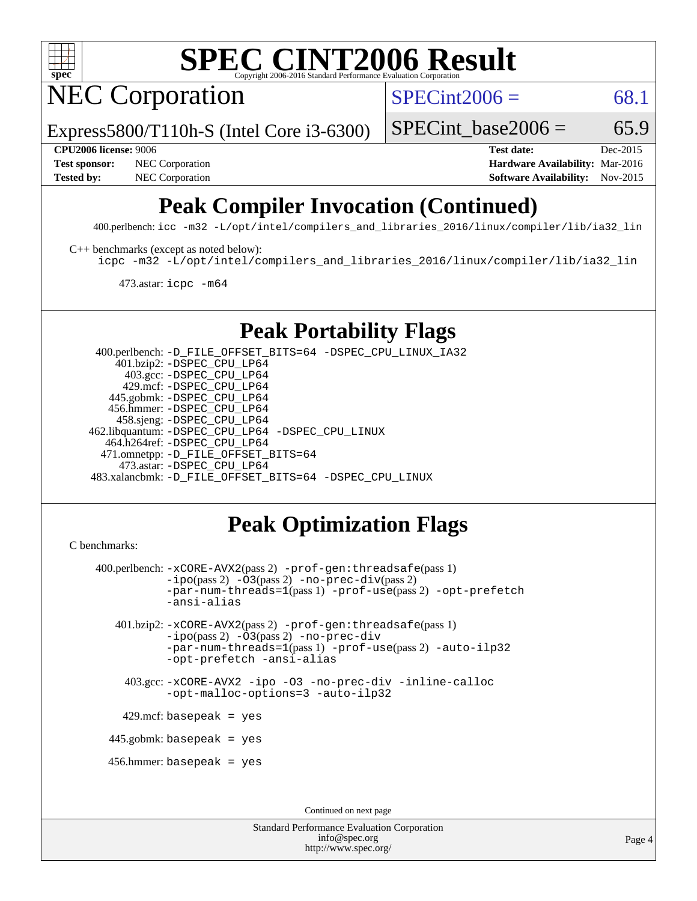

# **[SPEC CINT2006 Result](http://www.spec.org/auto/cpu2006/Docs/result-fields.html#SPECCINT2006Result)**

NEC Corporation

 $SPECint2006 = 68.1$  $SPECint2006 = 68.1$ 

Express5800/T110h-S (Intel Core i3-6300)

SPECint base2006 =  $65.9$ 

**[CPU2006 license:](http://www.spec.org/auto/cpu2006/Docs/result-fields.html#CPU2006license)** 9006 **[Test date:](http://www.spec.org/auto/cpu2006/Docs/result-fields.html#Testdate)** Dec-2015 **[Test sponsor:](http://www.spec.org/auto/cpu2006/Docs/result-fields.html#Testsponsor)** NEC Corporation **NEC Corporation [Hardware Availability:](http://www.spec.org/auto/cpu2006/Docs/result-fields.html#HardwareAvailability)** Mar-2016 **[Tested by:](http://www.spec.org/auto/cpu2006/Docs/result-fields.html#Testedby)** NEC Corporation **[Software Availability:](http://www.spec.org/auto/cpu2006/Docs/result-fields.html#SoftwareAvailability)** Nov-2015

## **[Peak Compiler Invocation \(Continued\)](http://www.spec.org/auto/cpu2006/Docs/result-fields.html#PeakCompilerInvocation)**

400.perlbench: [icc -m32 -L/opt/intel/compilers\\_and\\_libraries\\_2016/linux/compiler/lib/ia32\\_lin](http://www.spec.org/cpu2006/results/res2016q1/cpu2006-20160125-38944.flags.html#user_peakCCLD400_perlbench_intel_icc_e10256ba5924b668798078a321b0cb3f)

[C++ benchmarks \(except as noted below\):](http://www.spec.org/auto/cpu2006/Docs/result-fields.html#CXXbenchmarksexceptasnotedbelow)

[icpc -m32 -L/opt/intel/compilers\\_and\\_libraries\\_2016/linux/compiler/lib/ia32\\_lin](http://www.spec.org/cpu2006/results/res2016q1/cpu2006-20160125-38944.flags.html#user_CXXpeak_intel_icpc_b4f50a394bdb4597aa5879c16bc3f5c5)

473.astar: [icpc -m64](http://www.spec.org/cpu2006/results/res2016q1/cpu2006-20160125-38944.flags.html#user_peakCXXLD473_astar_intel_icpc_64bit_fc66a5337ce925472a5c54ad6a0de310)

## **[Peak Portability Flags](http://www.spec.org/auto/cpu2006/Docs/result-fields.html#PeakPortabilityFlags)**

 400.perlbench: [-D\\_FILE\\_OFFSET\\_BITS=64](http://www.spec.org/cpu2006/results/res2016q1/cpu2006-20160125-38944.flags.html#user_peakPORTABILITY400_perlbench_file_offset_bits_64_438cf9856305ebd76870a2c6dc2689ab) [-DSPEC\\_CPU\\_LINUX\\_IA32](http://www.spec.org/cpu2006/results/res2016q1/cpu2006-20160125-38944.flags.html#b400.perlbench_peakCPORTABILITY_DSPEC_CPU_LINUX_IA32) 401.bzip2: [-DSPEC\\_CPU\\_LP64](http://www.spec.org/cpu2006/results/res2016q1/cpu2006-20160125-38944.flags.html#suite_peakPORTABILITY401_bzip2_DSPEC_CPU_LP64) 403.gcc: [-DSPEC\\_CPU\\_LP64](http://www.spec.org/cpu2006/results/res2016q1/cpu2006-20160125-38944.flags.html#suite_peakPORTABILITY403_gcc_DSPEC_CPU_LP64) 429.mcf: [-DSPEC\\_CPU\\_LP64](http://www.spec.org/cpu2006/results/res2016q1/cpu2006-20160125-38944.flags.html#suite_peakPORTABILITY429_mcf_DSPEC_CPU_LP64) 445.gobmk: [-DSPEC\\_CPU\\_LP64](http://www.spec.org/cpu2006/results/res2016q1/cpu2006-20160125-38944.flags.html#suite_peakPORTABILITY445_gobmk_DSPEC_CPU_LP64) 456.hmmer: [-DSPEC\\_CPU\\_LP64](http://www.spec.org/cpu2006/results/res2016q1/cpu2006-20160125-38944.flags.html#suite_peakPORTABILITY456_hmmer_DSPEC_CPU_LP64) 458.sjeng: [-DSPEC\\_CPU\\_LP64](http://www.spec.org/cpu2006/results/res2016q1/cpu2006-20160125-38944.flags.html#suite_peakPORTABILITY458_sjeng_DSPEC_CPU_LP64) 462.libquantum: [-DSPEC\\_CPU\\_LP64](http://www.spec.org/cpu2006/results/res2016q1/cpu2006-20160125-38944.flags.html#suite_peakPORTABILITY462_libquantum_DSPEC_CPU_LP64) [-DSPEC\\_CPU\\_LINUX](http://www.spec.org/cpu2006/results/res2016q1/cpu2006-20160125-38944.flags.html#b462.libquantum_peakCPORTABILITY_DSPEC_CPU_LINUX) 464.h264ref: [-DSPEC\\_CPU\\_LP64](http://www.spec.org/cpu2006/results/res2016q1/cpu2006-20160125-38944.flags.html#suite_peakPORTABILITY464_h264ref_DSPEC_CPU_LP64) 471.omnetpp: [-D\\_FILE\\_OFFSET\\_BITS=64](http://www.spec.org/cpu2006/results/res2016q1/cpu2006-20160125-38944.flags.html#user_peakPORTABILITY471_omnetpp_file_offset_bits_64_438cf9856305ebd76870a2c6dc2689ab) 473.astar: [-DSPEC\\_CPU\\_LP64](http://www.spec.org/cpu2006/results/res2016q1/cpu2006-20160125-38944.flags.html#suite_peakPORTABILITY473_astar_DSPEC_CPU_LP64) 483.xalancbmk: [-D\\_FILE\\_OFFSET\\_BITS=64](http://www.spec.org/cpu2006/results/res2016q1/cpu2006-20160125-38944.flags.html#user_peakPORTABILITY483_xalancbmk_file_offset_bits_64_438cf9856305ebd76870a2c6dc2689ab) [-DSPEC\\_CPU\\_LINUX](http://www.spec.org/cpu2006/results/res2016q1/cpu2006-20160125-38944.flags.html#b483.xalancbmk_peakCXXPORTABILITY_DSPEC_CPU_LINUX)

## **[Peak Optimization Flags](http://www.spec.org/auto/cpu2006/Docs/result-fields.html#PeakOptimizationFlags)**

```
C benchmarks:
```

```
 400.perlbench: -xCORE-AVX2(pass 2) -prof-gen:threadsafe(pass 1)
         -i\text{po}(pass 2) -\overline{0}3(pass 2)-no-prec-div(pass 2)
         -par-num-threads=1(pass 1) -prof-use(pass 2) -opt-prefetch
         -ansi-alias
 401.bzip2: -xCORE-AVX2(pass 2) -prof-gen:threadsafe(pass 1)
         -ipo(pass 2) -O3(pass 2) -no-prec-div
         -par-num-threads=1(pass 1) -prof-use(pass 2) -auto-ilp32
         -opt-prefetch -ansi-alias
   403.gcc: -xCORE-AVX2 -ipo -O3 -no-prec-div -inline-calloc
         -opt-malloc-options=3 -auto-ilp32
 429.mcf: basepeak = yes
445.gobmk: basepeak = yes
456.hmmer: basepeak = yes
                                 Continued on next page
```
Standard Performance Evaluation Corporation [info@spec.org](mailto:info@spec.org) <http://www.spec.org/>

Page 4